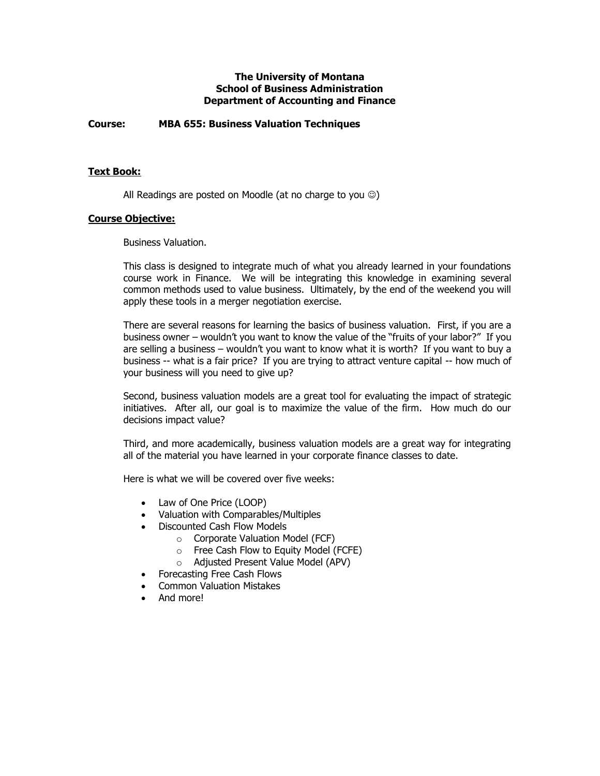### **The University of Montana School of Business Administration Department of Accounting and Finance**

**Course: MBA 655: Business Valuation Techniques**

### **Text Book:**

All Readings are posted on Moodle (at no charge to you  $\circledcirc$ )

#### **Course Objective:**

Business Valuation.

This class is designed to integrate much of what you already learned in your foundations course work in Finance. We will be integrating this knowledge in examining several common methods used to value business. Ultimately, by the end of the weekend you will apply these tools in a merger negotiation exercise.

There are several reasons for learning the basics of business valuation. First, if you are a business owner – wouldn't you want to know the value of the "fruits of your labor?" If you are selling a business – wouldn't you want to know what it is worth? If you want to buy a business -- what is a fair price? If you are trying to attract venture capital -- how much of your business will you need to give up?

Second, business valuation models are a great tool for evaluating the impact of strategic initiatives. After all, our goal is to maximize the value of the firm. How much do our decisions impact value?

Third, and more academically, business valuation models are a great way for integrating all of the material you have learned in your corporate finance classes to date.

Here is what we will be covered over five weeks:

- Law of One Price (LOOP)
- Valuation with Comparables/Multiples
- Discounted Cash Flow Models
	- $\circ$  Corporate Valuation Model (FCF)
	- o Free Cash Flow to Equity Model (FCFE)
	- o Adjusted Present Value Model (APV)
- Forecasting Free Cash Flows
- Common Valuation Mistakes
- And more!